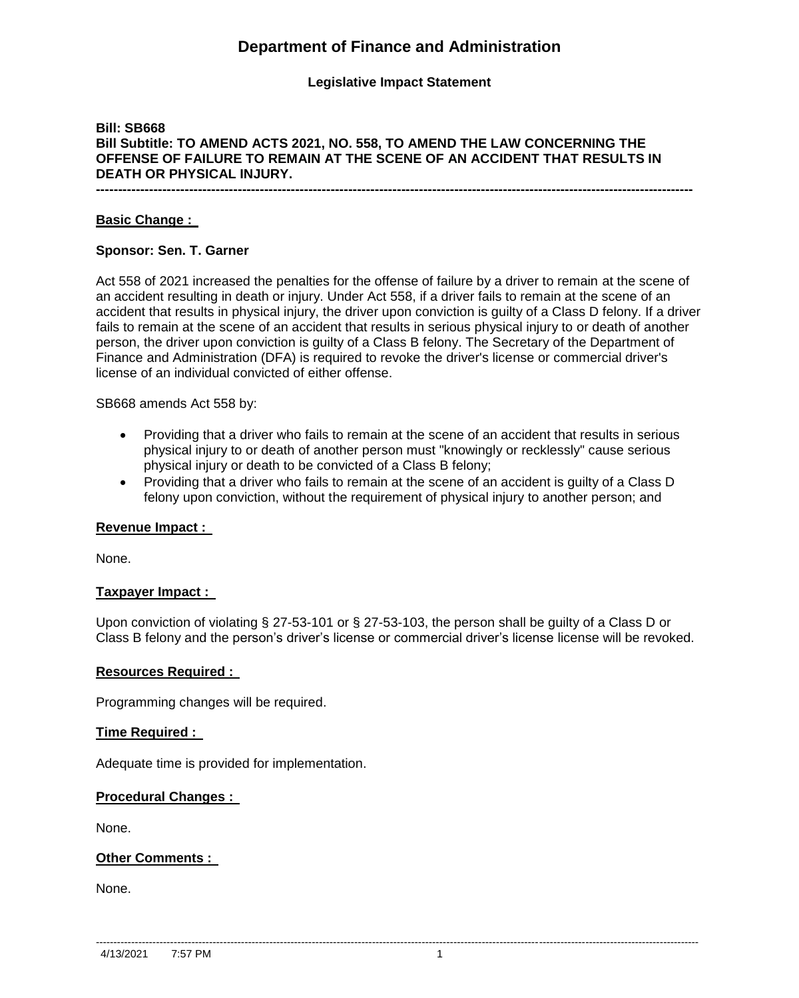# **Department of Finance and Administration**

## **Legislative Impact Statement**

# **Bill: SB668 Bill Subtitle: TO AMEND ACTS 2021, NO. 558, TO AMEND THE LAW CONCERNING THE OFFENSE OF FAILURE TO REMAIN AT THE SCENE OF AN ACCIDENT THAT RESULTS IN DEATH OR PHYSICAL INJURY.**

**---------------------------------------------------------------------------------------------------------------------------------------**

## **Basic Change :**

#### **Sponsor: Sen. T. Garner**

Act 558 of 2021 increased the penalties for the offense of failure by a driver to remain at the scene of an accident resulting in death or injury. Under Act 558, if a driver fails to remain at the scene of an accident that results in physical injury, the driver upon conviction is guilty of a Class D felony. If a driver fails to remain at the scene of an accident that results in serious physical injury to or death of another person, the driver upon conviction is guilty of a Class B felony. The Secretary of the Department of Finance and Administration (DFA) is required to revoke the driver's license or commercial driver's license of an individual convicted of either offense.

SB668 amends Act 558 by:

- Providing that a driver who fails to remain at the scene of an accident that results in serious physical injury to or death of another person must "knowingly or recklessly" cause serious physical injury or death to be convicted of a Class B felony;
- Providing that a driver who fails to remain at the scene of an accident is guilty of a Class D felony upon conviction, without the requirement of physical injury to another person; and

#### **Revenue Impact :**

None.

#### **Taxpayer Impact :**

Upon conviction of violating § 27-53-101 or § 27-53-103, the person shall be guilty of a Class D or Class B felony and the person's driver's license or commercial driver's license license will be revoked.

#### **Resources Required :**

Programming changes will be required.

## **Time Required :**

Adequate time is provided for implementation.

## **Procedural Changes :**

None.

#### **Other Comments :**

None.